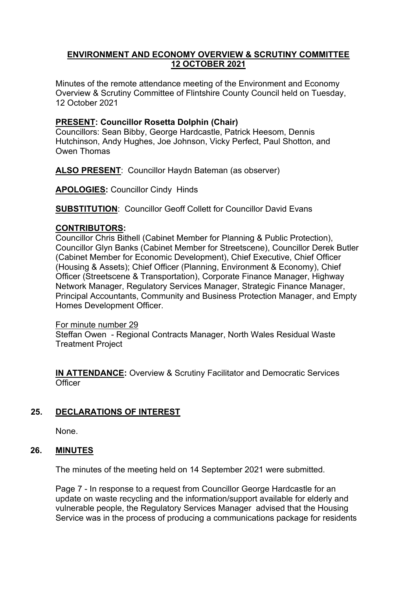# **ENVIRONMENT AND ECONOMY OVERVIEW & SCRUTINY COMMITTEE 12 OCTOBER 2021**

Minutes of the remote attendance meeting of the Environment and Economy Overview & Scrutiny Committee of Flintshire County Council held on Tuesday, 12 October 2021

# **PRESENT: Councillor Rosetta Dolphin (Chair)**

Councillors: Sean Bibby, George Hardcastle, Patrick Heesom, Dennis Hutchinson, Andy Hughes, Joe Johnson, Vicky Perfect, Paul Shotton, and Owen Thomas

**ALSO PRESENT**: Councillor Haydn Bateman (as observer)

**APOLOGIES:** Councillor Cindy Hinds

**SUBSTITUTION**: Councillor Geoff Collett for Councillor David Evans

### **CONTRIBUTORS:**

Councillor Chris Bithell (Cabinet Member for Planning & Public Protection), Councillor Glyn Banks (Cabinet Member for Streetscene), Councillor Derek Butler (Cabinet Member for Economic Development), Chief Executive, Chief Officer (Housing & Assets); Chief Officer (Planning, Environment & Economy), Chief Officer (Streetscene & Transportation), Corporate Finance Manager, Highway Network Manager, Regulatory Services Manager, Strategic Finance Manager, Principal Accountants, Community and Business Protection Manager, and Empty Homes Development Officer.

For minute number 29 Steffan Owen - Regional Contracts Manager, North Wales Residual Waste Treatment Project

**IN ATTENDANCE:** Overview & Scrutiny Facilitator and Democratic Services **Officer** 

# **25. DECLARATIONS OF INTEREST**

None.

### **26. MINUTES**

The minutes of the meeting held on 14 September 2021 were submitted.

Page 7 - In response to a request from Councillor George Hardcastle for an update on waste recycling and the information/support available for elderly and vulnerable people, the Regulatory Services Manager advised that the Housing Service was in the process of producing a communications package for residents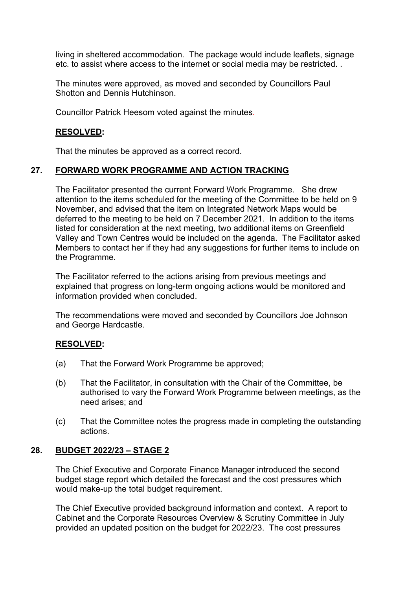living in sheltered accommodation. The package would include leaflets, signage etc. to assist where access to the internet or social media may be restricted. .

The minutes were approved, as moved and seconded by Councillors Paul Shotton and Dennis Hutchinson.

Councillor Patrick Heesom voted against the minutes.

### **RESOLVED:**

That the minutes be approved as a correct record.

### **27. FORWARD WORK PROGRAMME AND ACTION TRACKING**

The Facilitator presented the current Forward Work Programme. She drew attention to the items scheduled for the meeting of the Committee to be held on 9 November, and advised that the item on Integrated Network Maps would be deferred to the meeting to be held on 7 December 2021. In addition to the items listed for consideration at the next meeting, two additional items on Greenfield Valley and Town Centres would be included on the agenda. The Facilitator asked Members to contact her if they had any suggestions for further items to include on the Programme.

The Facilitator referred to the actions arising from previous meetings and explained that progress on long-term ongoing actions would be monitored and information provided when concluded.

The recommendations were moved and seconded by Councillors Joe Johnson and George Hardcastle.

### **RESOLVED:**

- (a) That the Forward Work Programme be approved;
- (b) That the Facilitator, in consultation with the Chair of the Committee, be authorised to vary the Forward Work Programme between meetings, as the need arises; and
- (c) That the Committee notes the progress made in completing the outstanding actions.

### **28. BUDGET 2022/23 – STAGE 2**

The Chief Executive and Corporate Finance Manager introduced the second budget stage report which detailed the forecast and the cost pressures which would make-up the total budget requirement.

The Chief Executive provided background information and context. A report to Cabinet and the Corporate Resources Overview & Scrutiny Committee in July provided an updated position on the budget for 2022/23. The cost pressures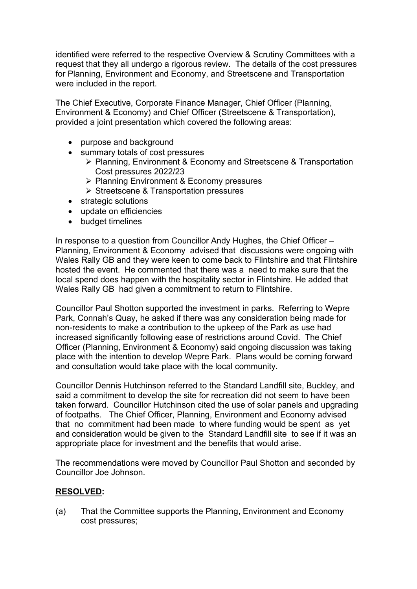identified were referred to the respective Overview & Scrutiny Committees with a request that they all undergo a rigorous review. The details of the cost pressures for Planning, Environment and Economy, and Streetscene and Transportation were included in the report.

The Chief Executive, Corporate Finance Manager, Chief Officer (Planning, Environment & Economy) and Chief Officer (Streetscene & Transportation), provided a joint presentation which covered the following areas:

- purpose and background
- summary totals of cost pressures
	- Planning, Environment & Economy and Streetscene & Transportation Cost pressures 2022/23
	- ▶ Planning Environment & Economy pressures
	- **► Streetscene & Transportation pressures**
- strategic solutions
- update on efficiencies
- budget timelines

In response to a question from Councillor Andy Hughes, the Chief Officer – Planning, Environment & Economy advised that discussions were ongoing with Wales Rally GB and they were keen to come back to Flintshire and that Flintshire hosted the event. He commented that there was a need to make sure that the local spend does happen with the hospitality sector in Flintshire. He added that Wales Rally GB had given a commitment to return to Flintshire.

Councillor Paul Shotton supported the investment in parks. Referring to Wepre Park, Connah's Quay, he asked if there was any consideration being made for non-residents to make a contribution to the upkeep of the Park as use had increased significantly following ease of restrictions around Covid. The Chief Officer (Planning, Environment & Economy) said ongoing discussion was taking place with the intention to develop Wepre Park. Plans would be coming forward and consultation would take place with the local community.

Councillor Dennis Hutchinson referred to the Standard Landfill site, Buckley, and said a commitment to develop the site for recreation did not seem to have been taken forward. Councillor Hutchinson cited the use of solar panels and upgrading of footpaths. The Chief Officer, Planning, Environment and Economy advised that no commitment had been made to where funding would be spent as yet and consideration would be given to the Standard Landfill site to see if it was an appropriate place for investment and the benefits that would arise.

The recommendations were moved by Councillor Paul Shotton and seconded by Councillor Joe Johnson.

### **RESOLVED:**

(a) That the Committee supports the Planning, Environment and Economy cost pressures;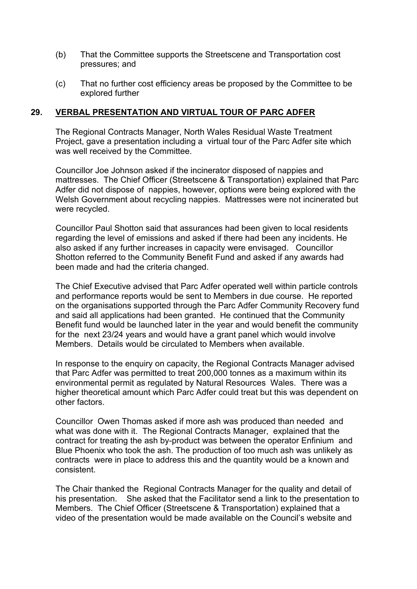- (b) That the Committee supports the Streetscene and Transportation cost pressures; and
- (c) That no further cost efficiency areas be proposed by the Committee to be explored further

### **29. VERBAL PRESENTATION AND VIRTUAL TOUR OF PARC ADFER**

The Regional Contracts Manager, North Wales Residual Waste Treatment Project, gave a presentation including a virtual tour of the Parc Adfer site which was well received by the Committee.

Councillor Joe Johnson asked if the incinerator disposed of nappies and mattresses. The Chief Officer (Streetscene & Transportation) explained that Parc Adfer did not dispose of nappies, however, options were being explored with the Welsh Government about recycling nappies. Mattresses were not incinerated but were recycled.

Councillor Paul Shotton said that assurances had been given to local residents regarding the level of emissions and asked if there had been any incidents. He also asked if any further increases in capacity were envisaged. Councillor Shotton referred to the Community Benefit Fund and asked if any awards had been made and had the criteria changed.

The Chief Executive advised that Parc Adfer operated well within particle controls and performance reports would be sent to Members in due course. He reported on the organisations supported through the Parc Adfer Community Recovery fund and said all applications had been granted. He continued that the Community Benefit fund would be launched later in the year and would benefit the community for the next 23/24 years and would have a grant panel which would involve Members. Details would be circulated to Members when available.

In response to the enquiry on capacity, the Regional Contracts Manager advised that Parc Adfer was permitted to treat 200,000 tonnes as a maximum within its environmental permit as regulated by Natural Resources Wales. There was a higher theoretical amount which Parc Adfer could treat but this was dependent on other factors.

Councillor Owen Thomas asked if more ash was produced than needed and what was done with it. The Regional Contracts Manager, explained that the contract for treating the ash by-product was between the operator Enfinium and Blue Phoenix who took the ash. The production of too much ash was unlikely as contracts were in place to address this and the quantity would be a known and consistent.

The Chair thanked the Regional Contracts Manager for the quality and detail of his presentation. She asked that the Facilitator send a link to the presentation to Members. The Chief Officer (Streetscene & Transportation) explained that a video of the presentation would be made available on the Council's website and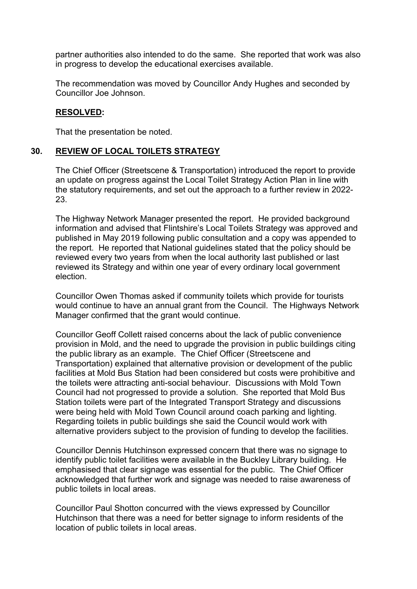partner authorities also intended to do the same. She reported that work was also in progress to develop the educational exercises available.

The recommendation was moved by Councillor Andy Hughes and seconded by Councillor Joe Johnson.

### **RESOLVED:**

That the presentation be noted.

# **30. REVIEW OF LOCAL TOILETS STRATEGY**

The Chief Officer (Streetscene & Transportation) introduced the report to provide an update on progress against the Local Toilet Strategy Action Plan in line with the statutory requirements, and set out the approach to a further review in 2022- 23.

The Highway Network Manager presented the report. He provided background information and advised that Flintshire's Local Toilets Strategy was approved and published in May 2019 following public consultation and a copy was appended to the report. He reported that National guidelines stated that the policy should be reviewed every two years from when the local authority last published or last reviewed its Strategy and within one year of every ordinary local government election.

Councillor Owen Thomas asked if community toilets which provide for tourists would continue to have an annual grant from the Council. The Highways Network Manager confirmed that the grant would continue.

Councillor Geoff Collett raised concerns about the lack of public convenience provision in Mold, and the need to upgrade the provision in public buildings citing the public library as an example. The Chief Officer (Streetscene and Transportation) explained that alternative provision or development of the public facilities at Mold Bus Station had been considered but costs were prohibitive and the toilets were attracting anti-social behaviour. Discussions with Mold Town Council had not progressed to provide a solution. She reported that Mold Bus Station toilets were part of the Integrated Transport Strategy and discussions were being held with Mold Town Council around coach parking and lighting. Regarding toilets in public buildings she said the Council would work with alternative providers subject to the provision of funding to develop the facilities.

Councillor Dennis Hutchinson expressed concern that there was no signage to identify public toilet facilities were available in the Buckley Library building. He emphasised that clear signage was essential for the public. The Chief Officer acknowledged that further work and signage was needed to raise awareness of public toilets in local areas.

Councillor Paul Shotton concurred with the views expressed by Councillor Hutchinson that there was a need for better signage to inform residents of the location of public toilets in local areas.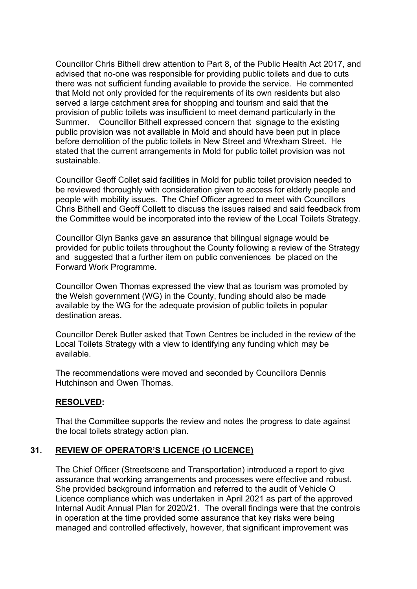Councillor Chris Bithell drew attention to Part 8, of the Public Health Act 2017, and advised that no-one was responsible for providing public toilets and due to cuts there was not sufficient funding available to provide the service. He commented that Mold not only provided for the requirements of its own residents but also served a large catchment area for shopping and tourism and said that the provision of public toilets was insufficient to meet demand particularly in the Summer. Councillor Bithell expressed concern that signage to the existing public provision was not available in Mold and should have been put in place before demolition of the public toilets in New Street and Wrexham Street. He stated that the current arrangements in Mold for public toilet provision was not sustainable.

Councillor Geoff Collet said facilities in Mold for public toilet provision needed to be reviewed thoroughly with consideration given to access for elderly people and people with mobility issues. The Chief Officer agreed to meet with Councillors Chris Bithell and Geoff Collett to discuss the issues raised and said feedback from the Committee would be incorporated into the review of the Local Toilets Strategy.

Councillor Glyn Banks gave an assurance that bilingual signage would be provided for public toilets throughout the County following a review of the Strategy and suggested that a further item on public conveniences be placed on the Forward Work Programme.

Councillor Owen Thomas expressed the view that as tourism was promoted by the Welsh government (WG) in the County, funding should also be made available by the WG for the adequate provision of public toilets in popular destination areas.

Councillor Derek Butler asked that Town Centres be included in the review of the Local Toilets Strategy with a view to identifying any funding which may be available.

The recommendations were moved and seconded by Councillors Dennis Hutchinson and Owen Thomas.

### **RESOLVED:**

That the Committee supports the review and notes the progress to date against the local toilets strategy action plan.

### **31. REVIEW OF OPERATOR'S LICENCE (O LICENCE)**

The Chief Officer (Streetscene and Transportation) introduced a report to give assurance that working arrangements and processes were effective and robust. She provided background information and referred to the audit of Vehicle O Licence compliance which was undertaken in April 2021 as part of the approved Internal Audit Annual Plan for 2020/21. The overall findings were that the controls in operation at the time provided some assurance that key risks were being managed and controlled effectively, however, that significant improvement was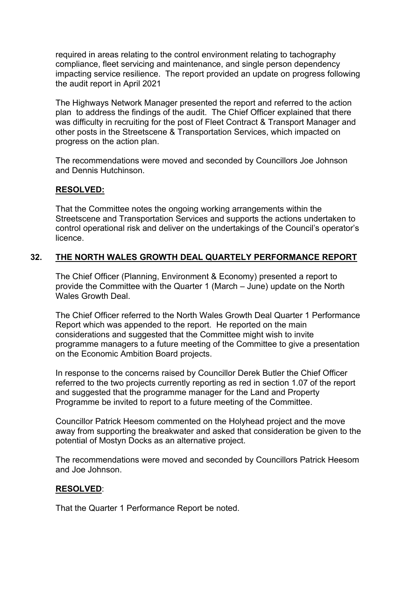required in areas relating to the control environment relating to tachography compliance, fleet servicing and maintenance, and single person dependency impacting service resilience. The report provided an update on progress following the audit report in April 2021

The Highways Network Manager presented the report and referred to the action plan to address the findings of the audit. The Chief Officer explained that there was difficulty in recruiting for the post of Fleet Contract & Transport Manager and other posts in the Streetscene & Transportation Services, which impacted on progress on the action plan.

The recommendations were moved and seconded by Councillors Joe Johnson and Dennis Hutchinson.

# **RESOLVED:**

That the Committee notes the ongoing working arrangements within the Streetscene and Transportation Services and supports the actions undertaken to control operational risk and deliver on the undertakings of the Council's operator's licence.

# **32. THE NORTH WALES GROWTH DEAL QUARTELY PERFORMANCE REPORT**

The Chief Officer (Planning, Environment & Economy) presented a report to provide the Committee with the Quarter 1 (March – June) update on the North Wales Growth Deal.

The Chief Officer referred to the North Wales Growth Deal Quarter 1 Performance Report which was appended to the report. He reported on the main considerations and suggested that the Committee might wish to invite programme managers to a future meeting of the Committee to give a presentation on the Economic Ambition Board projects.

In response to the concerns raised by Councillor Derek Butler the Chief Officer referred to the two projects currently reporting as red in section 1.07 of the report and suggested that the programme manager for the Land and Property Programme be invited to report to a future meeting of the Committee.

Councillor Patrick Heesom commented on the Holyhead project and the move away from supporting the breakwater and asked that consideration be given to the potential of Mostyn Docks as an alternative project.

The recommendations were moved and seconded by Councillors Patrick Heesom and Joe Johnson.

### **RESOLVED**:

That the Quarter 1 Performance Report be noted.